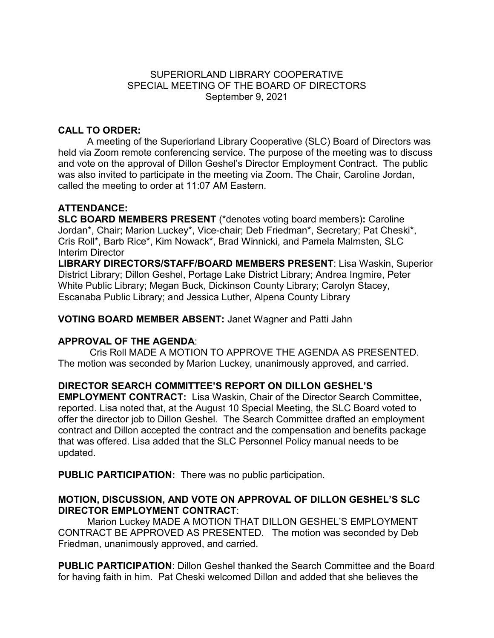### SUPERIORLAND LIBRARY COOPERATIVE SPECIAL MEETING OF THE BOARD OF DIRECTORS September 9, 2021

# **CALL TO ORDER:**

A meeting of the Superiorland Library Cooperative (SLC) Board of Directors was held via Zoom remote conferencing service. The purpose of the meeting was to discuss and vote on the approval of Dillon Geshel's Director Employment Contract. The public was also invited to participate in the meeting via Zoom. The Chair, Caroline Jordan, called the meeting to order at 11:07 AM Eastern.

# **ATTENDANCE:**

**SLC BOARD MEMBERS PRESENT** (\*denotes voting board members)**:** Caroline Jordan\*, Chair; Marion Luckey\*, Vice-chair; Deb Friedman\*, Secretary; Pat Cheski\*, Cris Roll\*, Barb Rice\*, Kim Nowack\*, Brad Winnicki, and Pamela Malmsten, SLC Interim Director

**LIBRARY DIRECTORS/STAFF/BOARD MEMBERS PRESENT**: Lisa Waskin, Superior District Library; Dillon Geshel, Portage Lake District Library; Andrea Ingmire, Peter White Public Library; Megan Buck, Dickinson County Library; Carolyn Stacey, Escanaba Public Library; and Jessica Luther, Alpena County Library

**VOTING BOARD MEMBER ABSENT:** Janet Wagner and Patti Jahn

### **APPROVAL OF THE AGENDA**:

Cris Roll MADE A MOTION TO APPROVE THE AGENDA AS PRESENTED. The motion was seconded by Marion Luckey, unanimously approved, and carried.

# **DIRECTOR SEARCH COMMITTEE'S REPORT ON DILLON GESHEL'S**

**EMPLOYMENT CONTRACT:** Lisa Waskin, Chair of the Director Search Committee, reported. Lisa noted that, at the August 10 Special Meeting, the SLC Board voted to offer the director job to Dillon Geshel. The Search Committee drafted an employment contract and Dillon accepted the contract and the compensation and benefits package that was offered. Lisa added that the SLC Personnel Policy manual needs to be updated.

**PUBLIC PARTICIPATION:** There was no public participation.

### **MOTION, DISCUSSION, AND VOTE ON APPROVAL OF DILLON GESHEL'S SLC DIRECTOR EMPLOYMENT CONTRACT**:

Marion Luckey MADE A MOTION THAT DILLON GESHEL'S EMPLOYMENT CONTRACT BE APPROVED AS PRESENTED. The motion was seconded by Deb Friedman, unanimously approved, and carried.

**PUBLIC PARTICIPATION**: Dillon Geshel thanked the Search Committee and the Board for having faith in him. Pat Cheski welcomed Dillon and added that she believes the